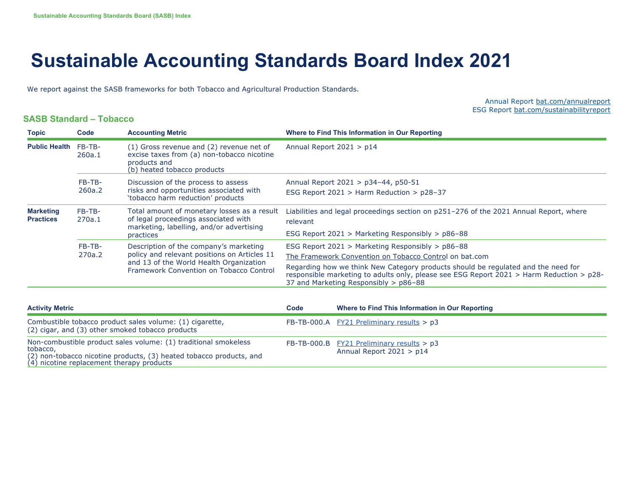## **Sustainable Accounting Standards Board Index 2021**

We report against the SASB frameworks for both Tobacco and Agricultural Production Standards.

Annual Report bat.com/annualreport ESG Report bat.com/sustainabilityreport

## **SASB Standard – Tobacco**

| <b>Topic</b>                                                                                                                                       | Code             | <b>Accounting Metric</b>                                                                                                                                                     |                                                                                  | Where to Find This Information in Our Reporting                                                                                                                                                                          |  |
|----------------------------------------------------------------------------------------------------------------------------------------------------|------------------|------------------------------------------------------------------------------------------------------------------------------------------------------------------------------|----------------------------------------------------------------------------------|--------------------------------------------------------------------------------------------------------------------------------------------------------------------------------------------------------------------------|--|
| <b>Public Health</b>                                                                                                                               | FB-TB-<br>260a.1 | (1) Gross revenue and (2) revenue net of<br>excise taxes from (a) non-tobacco nicotine<br>products and<br>(b) heated tobacco products                                        | Annual Report 2021 > p14                                                         |                                                                                                                                                                                                                          |  |
|                                                                                                                                                    | FB-TB-<br>260a.2 | Discussion of the process to assess<br>risks and opportunities associated with<br>'tobacco harm reduction' products                                                          | Annual Report 2021 > p34-44, p50-51<br>ESG Report 2021 > Harm Reduction > p28-37 |                                                                                                                                                                                                                          |  |
| <b>Marketing</b><br><b>Practices</b>                                                                                                               | FB-TB-<br>270a.1 | Total amount of monetary losses as a result<br>of legal proceedings associated with<br>marketing, labelling, and/or advertising                                              | relevant                                                                         | Liabilities and legal proceedings section on p251-276 of the 2021 Annual Report, where                                                                                                                                   |  |
|                                                                                                                                                    |                  | practices                                                                                                                                                                    |                                                                                  | ESG Report 2021 > Marketing Responsibly > $p86-88$                                                                                                                                                                       |  |
|                                                                                                                                                    | FB-TB-           | Description of the company's marketing<br>policy and relevant positions on Articles 11<br>and 13 of the World Health Organization<br>Framework Convention on Tobacco Control | ESG Report 2021 > Marketing Responsibly > p86-88                                 |                                                                                                                                                                                                                          |  |
|                                                                                                                                                    | 270a.2           |                                                                                                                                                                              |                                                                                  | The Framework Convention on Tobacco Control on bat.com                                                                                                                                                                   |  |
|                                                                                                                                                    |                  |                                                                                                                                                                              |                                                                                  | Regarding how we think New Category products should be regulated and the need for<br>responsible marketing to adults only, please see ESG Report 2021 > Harm Reduction > p28-<br>37 and Marketing Responsibly $>$ p86-88 |  |
|                                                                                                                                                    |                  |                                                                                                                                                                              |                                                                                  |                                                                                                                                                                                                                          |  |
| <b>Activity Metric</b>                                                                                                                             |                  |                                                                                                                                                                              | Code                                                                             | Where to Find This Information in Our Reporting                                                                                                                                                                          |  |
| Combustible tobacco product sales volume: (1) cigarette,<br>(2) cigar, and (3) other smoked tobacco products                                       |                  |                                                                                                                                                                              |                                                                                  | FB-TB-000.A $FY21$ Preliminary results > p3                                                                                                                                                                              |  |
| Non-combustible product sales volume: (1) traditional smokeless<br>tobacco,<br>(2) non-tobacco nicotine products, (3) heated tobacco products, and |                  |                                                                                                                                                                              | FB-TB-000.B                                                                      | $FY21$ Preliminary results > p3<br>Annual Report $2021 > p14$                                                                                                                                                            |  |

(4) nicotine replacement therapy products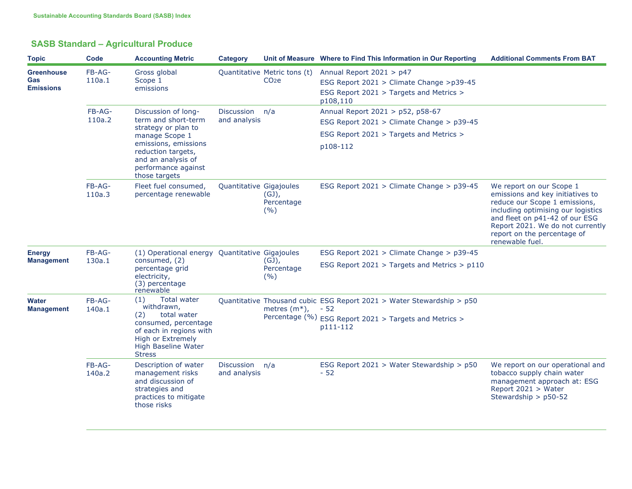| <b>SASB Standard - Agricultural Produce</b> |  |  |
|---------------------------------------------|--|--|
|---------------------------------------------|--|--|

| <b>Topic</b>                                 | Code             | <b>Accounting Metric</b>                                                                                                                                                                        | Category                       |                                                   | Unit of Measure Where to Find This Information in Our Reporting                                                             | <b>Additional Comments From BAT</b>                                                                                                                                                                                                                         |
|----------------------------------------------|------------------|-------------------------------------------------------------------------------------------------------------------------------------------------------------------------------------------------|--------------------------------|---------------------------------------------------|-----------------------------------------------------------------------------------------------------------------------------|-------------------------------------------------------------------------------------------------------------------------------------------------------------------------------------------------------------------------------------------------------------|
| <b>Greenhouse</b><br>Gas<br><b>Emissions</b> | FB-AG-<br>110a.1 | Gross global<br>Scope 1<br>emissions                                                                                                                                                            |                                | Quantitative Metric tons (t)<br>CO <sub>2</sub> e | Annual Report 2021 > p47<br>ESG Report 2021 > Climate Change >p39-45<br>ESG Report 2021 > Targets and Metrics ><br>p108,110 |                                                                                                                                                                                                                                                             |
|                                              | FB-AG-<br>110a.2 | Discussion of long-<br>term and short-term<br>strategy or plan to<br>manage Scope 1<br>emissions, emissions<br>reduction targets,<br>and an analysis of<br>performance against<br>those targets | Discussion n/a<br>and analysis |                                                   | Annual Report 2021 > p52, p58-67<br>ESG Report 2021 > Climate Change > p39-45                                               |                                                                                                                                                                                                                                                             |
|                                              |                  |                                                                                                                                                                                                 |                                |                                                   | ESG Report 2021 > Targets and Metrics ><br>p108-112                                                                         |                                                                                                                                                                                                                                                             |
|                                              | FB-AG-<br>110a.3 | Fleet fuel consumed,<br>percentage renewable                                                                                                                                                    | Quantitative Gigajoules        | $(GJ)$ ,<br>Percentage<br>(9/6)                   | ESG Report 2021 > Climate Change > p39-45                                                                                   | We report on our Scope 1<br>emissions and key initiatives to<br>reduce our Scope 1 emissions,<br>including optimising our logistics<br>and fleet on p41-42 of our ESG<br>Report 2021. We do not currently<br>report on the percentage of<br>renewable fuel. |
| <b>Energy</b><br><b>Management</b>           | FB-AG-<br>130a.1 | (1) Operational energy Quantitative Gigajoules<br>consumed, (2)                                                                                                                                 |                                | $(GJ)$ ,<br>Percentage<br>(9/6)                   | ESG Report $2021 >$ Climate Change $> p39-45$                                                                               |                                                                                                                                                                                                                                                             |
|                                              |                  | percentage grid<br>electricity,<br>(3) percentage<br>renewable                                                                                                                                  |                                |                                                   | ESG Report 2021 > Targets and Metrics > p110                                                                                |                                                                                                                                                                                                                                                             |
| <b>Water</b><br><b>Management</b>            | FB-AG-<br>140a.1 | Total water<br>(1)<br>withdrawn,<br>total water                                                                                                                                                 |                                | metres $(m^*)$ ,                                  | Quantitative Thousand cubic ESG Report 2021 > Water Stewardship > p50<br>$-52$                                              |                                                                                                                                                                                                                                                             |
|                                              |                  | (2)<br>consumed, percentage<br>of each in regions with<br>High or Extremely<br>High Baseline Water<br><b>Stress</b>                                                                             |                                |                                                   | Percentage $(^{06}_{0})$ ESG Report 2021 > Targets and Metrics ><br>p111-112                                                |                                                                                                                                                                                                                                                             |
|                                              | FB-AG-<br>140a.2 | Description of water<br>management risks<br>and discussion of<br>strategies and<br>practices to mitigate<br>those risks                                                                         | Discussion n/a<br>and analysis |                                                   | ESG Report 2021 > Water Stewardship > p50<br>$-52$                                                                          | We report on our operational and<br>tobacco supply chain water<br>management approach at: ESG<br>Report 2021 > Water<br>Stewardship > p50-52                                                                                                                |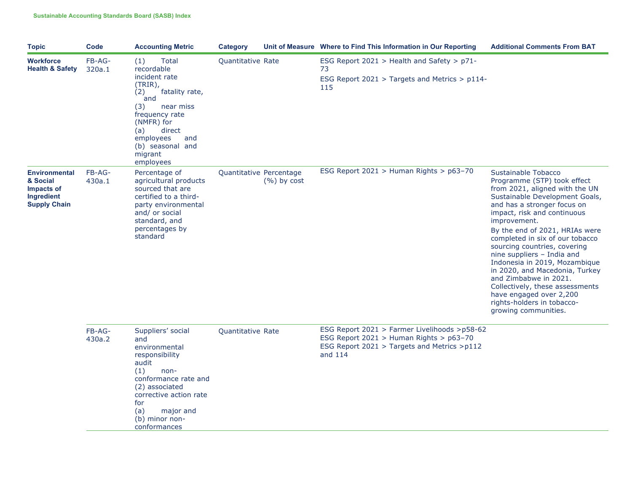| <b>Topic</b>                                                                        | Code             | <b>Accounting Metric</b>                                                                                                                                                                                                    | Category          |                                          | Unit of Measure Where to Find This Information in Our Reporting                                                                                   | <b>Additional Comments From BAT</b>                                                                                                                                                                                                                                                                                                                                                                                                                                                                                                                     |
|-------------------------------------------------------------------------------------|------------------|-----------------------------------------------------------------------------------------------------------------------------------------------------------------------------------------------------------------------------|-------------------|------------------------------------------|---------------------------------------------------------------------------------------------------------------------------------------------------|---------------------------------------------------------------------------------------------------------------------------------------------------------------------------------------------------------------------------------------------------------------------------------------------------------------------------------------------------------------------------------------------------------------------------------------------------------------------------------------------------------------------------------------------------------|
| <b>Workforce</b><br><b>Health &amp; Safety</b>                                      | FB-AG-<br>320a.1 | Total<br>(1)<br>recordable<br>incident rate<br>(TRIR),<br>fatality rate,<br>(2)<br>and<br>(3)<br>near miss<br>frequency rate<br>(NMFR) for<br>(a)<br>direct<br>employees<br>and<br>(b) seasonal and<br>migrant<br>employees | Quantitative Rate |                                          | ESG Report 2021 > Health and Safety > p71-<br>73<br>ESG Report 2021 > Targets and Metrics > p114-<br>115                                          |                                                                                                                                                                                                                                                                                                                                                                                                                                                                                                                                                         |
| <b>Environmental</b><br>& Social<br>Impacts of<br>Ingredient<br><b>Supply Chain</b> | FB-AG-<br>430a.1 | Percentage of<br>agricultural products<br>sourced that are<br>certified to a third-<br>party environmental<br>and/ or social<br>standard, and<br>percentages by<br>standard                                                 |                   | Quantitative Percentage<br>$(%)$ by cost | ESG Report 2021 > Human Rights > p63-70                                                                                                           | Sustainable Tobacco<br>Programme (STP) took effect<br>from 2021, aligned with the UN<br>Sustainable Development Goals,<br>and has a stronger focus on<br>impact, risk and continuous<br>improvement.<br>By the end of 2021, HRIAs were<br>completed in six of our tobacco<br>sourcing countries, covering<br>nine suppliers - India and<br>Indonesia in 2019, Mozambique<br>in 2020, and Macedonia, Turkey<br>and Zimbabwe in 2021.<br>Collectively, these assessments<br>have engaged over 2,200<br>rights-holders in tobacco-<br>growing communities. |
|                                                                                     | FB-AG-<br>430a.2 | Suppliers' social<br>and<br>environmental<br>responsibility<br>audit<br>(1)<br>non-<br>conformance rate and<br>(2) associated<br>corrective action rate<br>for<br>(a)<br>major and<br>(b) minor non-<br>conformances        | Quantitative Rate |                                          | ESG Report 2021 > Farmer Livelihoods >p58-62<br>ESG Report 2021 > Human Rights > p63-70<br>ESG Report 2021 > Targets and Metrics >p112<br>and 114 |                                                                                                                                                                                                                                                                                                                                                                                                                                                                                                                                                         |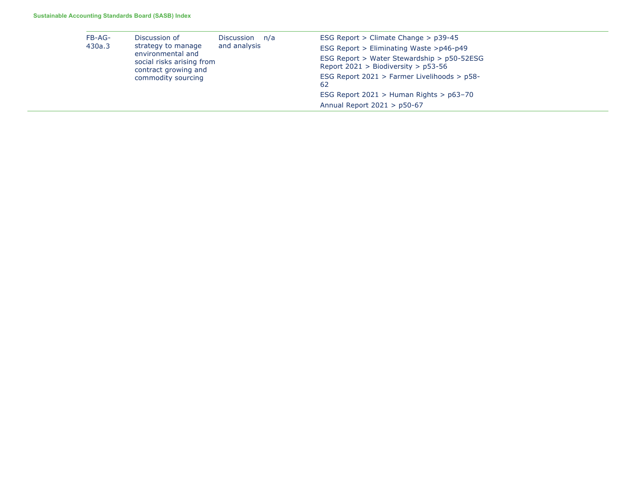| FB-AG-<br>430a.3 | Discussion of<br>strategy to manage<br>environmental and<br>social risks arising from<br>contract growing and<br>commodity sourcing | Discussion n/a | ESG Report $>$ Climate Change $>$ p39-45                                              |
|------------------|-------------------------------------------------------------------------------------------------------------------------------------|----------------|---------------------------------------------------------------------------------------|
|                  |                                                                                                                                     | and analysis   | ESG Report > Eliminating Waste > $p46-p49$                                            |
|                  |                                                                                                                                     |                | ESG Report > Water Stewardship > p50-52ESG<br>Report $2021 >$ Biodiversity $>$ p53-56 |
|                  |                                                                                                                                     |                | ESG Report 2021 > Farmer Livelihoods > p58-<br>62                                     |
|                  |                                                                                                                                     |                | ESG Report $2021 >$ Human Rights $> p63-70$                                           |
|                  |                                                                                                                                     |                | Annual Report $2021 > p50-67$                                                         |